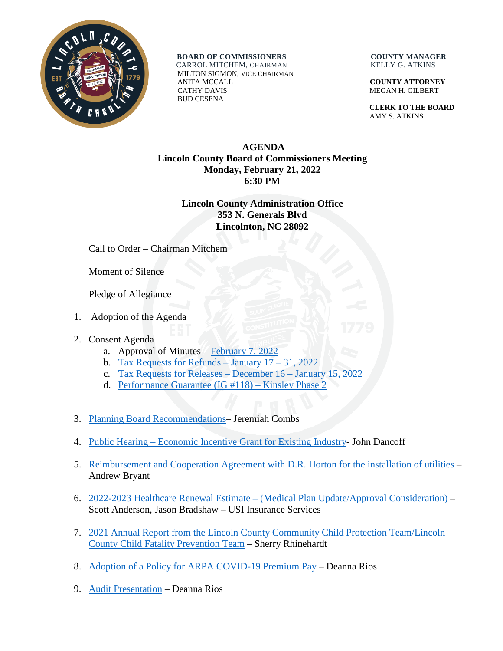

**BOARD OF COMMISSIONERS COUNTY MANAGER** CARROL MITCHEM, CHAIRMAN KELLY G. ATKINS

 MILTON SIGMON, VICE CHAIRMAN ANITA MCCALL **COUNTY ATTORNEY** CATHY DAVIS MEGAN H. GILBERT BUD CESENA

 **CLERK TO THE BOARD** AMY S. ATKINS

## **AGENDA Lincoln County Board of Commissioners Meeting Monday, February 21, 2022 6:30 PM**

## **Lincoln County Administration Office 353 N. Generals Blvd Lincolnton, NC 28092**

Call to Order – Chairman Mitchem

Moment of Silence

Pledge of Allegiance

- 1. Adoption of the Agenda
- 2. Consent Agenda
	- a. Approval of Minutes [February 7, 2022](https://www.lincolncounty.org/DocumentCenter/View/18540/022122Item2a)
	- b. [Tax Requests for Refunds –](https://www.lincolncounty.org/DocumentCenter/View/18517/022122Item2b) January  $17 31$ , 2022
	- c. [Tax Requests for Releases](https://www.lincolncounty.org/DocumentCenter/View/18518/022122Item2c) December 16 January 15, 2022
	- d. [Performance Guarantee \(IG #118\) –](https://www.lincolncounty.org/DocumentCenter/View/18519/022122Item2d) Kinsley Phase 2
- 3. [Planning Board Recommendations–](https://www.lincolncounty.org/DocumentCenter/View/18520/022122Item3) Jeremiah Combs
- 4. Public Hearing [Economic Incentive Grant for Existing Industry-](https://www.lincolncounty.org/DocumentCenter/View/18521/022122Item4) John Dancoff
- 5. [Reimbursement and Cooperation Agreement with D.R. Horton for the installation of utilities](https://www.lincolncounty.org/DocumentCenter/View/18522/022122Item5) Andrew Bryant
- 6. 2022-2023 Healthcare Renewal Estimate [\(Medical Plan Update/Approval Consideration\) –](https://www.lincolncounty.org/DocumentCenter/View/18523/022122Item6) Scott Anderson, Jason Bradshaw – USI Insurance Services
- 7. [2021 Annual Report from the Lincoln County Community Child Protection Team/Lincoln](https://www.lincolncounty.org/DocumentCenter/View/18524/022122Item7)  [County Child Fatality Prevention Team](https://www.lincolncounty.org/DocumentCenter/View/18524/022122Item7) – Sherry Rhinehardt
- 8. Adoption of [a Policy for ARPA COVID-19 Premium Pay –](https://www.lincolncounty.org/DocumentCenter/View/18525/022122Item8) Deanna Rios
- 9. [Audit Presentation](https://www.lincolncounty.org/DocumentCenter/View/18526/022122Item9) Deanna Rios